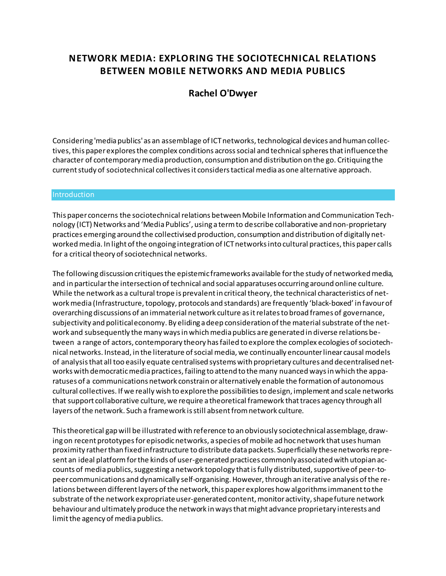# **NETWORK MEDIA: EXPLORING THE SOCIOTECHNICAL RELATIONS BETWEEN MOBILE NETWORKS AND MEDIA PUBLICS**

## **[Rachel O'Dwyer](http://isea2011.sabanciuniv.edu/-592.html)**

Considering 'media publics' as an assemblage of ICT networks, technological devices and human collectives, this paper explores the complex conditions across social and technical spheres that influence the character of contemporary media production, consumption and distribution on the go. Critiquing the current study of sociotechnical collectives it considers tactical media as one alternative approach.

#### **Introduction**

This paper concerns the sociotechnical relations between Mobile Information and Communication Technology (ICT) Networks and 'Media Publics', using a term to describe collaborative and non-proprietary practices emerging around the collectivised production, consumption and distribution of digitally networked media. In light of the ongoing integration of ICT networks into cultural practices, this paper calls for a critical theory of sociotechnical networks.

The following discussion critiques the epistemic frameworks available for the study of networked media, and in particular the intersection of technical and social apparatuses occurring around online culture. While the network as a cultural trope is prevalent in critical theory, the technical characteristics of network media (Infrastructure, topology, protocols and standards) are frequently 'black-boxed' in favour of overarching discussions of an immaterial network culture as it relates to broad frames of governance, subjectivity and political economy. By eliding a deep consideration of the material substrate of the network and subsequently the many ways in which media publics are generated in diverse relations between a range of actors, contemporary theory has failed to explore the complex ecologies of sociotechnical networks. Instead, in the literature of social media, we continually encounter linear causal models of analysis that all too easily equate centralised systems with proprietary cultures and decentralised networks with democratic media practices, failing to attend to the many nuanced ways in which the apparatuses of a communications network constrain or alternatively enable the formation of autonomous cultural collectives. If we really wish to explore the possibilities to design, implement and scale networks that support collaborative culture, we require a theoretical framework that traces agency through all layers of the network. Such a framework is still absent from network culture.

This theoretical gap will be illustrated with reference to an obviously sociotechnical assemblage, drawing on recent prototypes for episodic networks, a species of mobile ad hoc network that uses human proximity rather than fixed infrastructure to distribute data packets. Superficially these networks represent an ideal platform for the kinds of user-generated practices commonly associated with utopian accounts of media publics, suggesting a network topology that is fully distributed, supportive of peer-topeer communications and dynamically self-organising. However, through an iterative analysis of the relations between different layers of the network, this paper explores how algorithms immanent to the substrate of the network expropriate user-generated content, monitor activity, shape future network behaviour and ultimately produce the network in ways that might advance proprietary interests and limit the agency of media publics.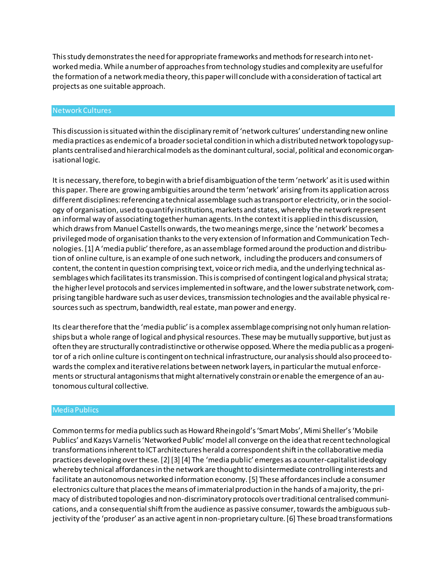This study demonstrates the need for appropriate frameworks and methods for research into networked media. While a number of approaches from technology studies and complexity are useful for the formation of a network media theory, this paper will conclude with a consideration of tactical art projects as one suitable approach.

#### Network Cultures

This discussion is situated within the disciplinary remit of 'network cultures' understanding new online media practices as endemic of a broader societal condition in which a distributed network topology supplants centralised and hierarchical models as the dominant cultural, social, political and economic organisational logic.

It is necessary, therefore, to begin with a brief disambiguation of the term 'network' as it is used within this paper. There are growing ambiguities around the term 'network' arising from its application across different disciplines: referencing a technical assemblage such as transport or electricity, or in the sociology of organisation, used to quantify institutions, markets and states, whereby the network represent an informal way of associating together human agents. In the context it is applied in this discussion, which draws from Manuel Castells onwards, the two meanings merge, since the 'network' becomes a privileged mode of organisation thanks to the very extension of Information and Communication Technologies. [1] A 'media public' therefore, as an assemblage formed around the production and distribution of online culture, is an example of one such network, including the producers and consumers of content, the content in question comprising text, voice or rich media, and the underlying technical assemblages which facilitates its transmission. This is comprised of contingent logical and physical strata; the higher level protocols and services implemented in software, and the lower substrate network, comprising tangible hardware such as user devices, transmission technologies and the available physical resources such as spectrum, bandwidth, real estate, man power and energy.

Its clear therefore that the 'media public' is a complex assemblage comprising not only human relationships but a whole range of logical and physical resources. These may be mutually supportive, but just as often they are structurally contradistinctive or otherwise opposed. Where the media public as a progenitor of a rich online culture is contingent on technical infrastructure, our analysis should also proceed towards the complex and iterative relations between network layers, in particular the mutual enforcements or structural antagonisms that might alternatively constrain or enable the emergence of an autonomous cultural collective.

#### Media Publics

Common terms for media publics such as Howard Rheingold's 'Smart Mobs', Mimi Sheller's 'Mobile Publics' and Kazys Varnelis 'Networked Public' model all converge on the idea that recent technological transformations inherent to ICT architectures herald a correspondent shift in the collaborative media practices developing over these. [2] [3] [4] The 'media public' emerges as a counter-capitalist ideology whereby technical affordances in the network are thought to disintermediate controlling interests and facilitate an autonomous networked information economy. [5] These affordances include a consumer electronics culture that places the means of immaterial production in the hands of a majority, the primacy of distributed topologies and non-discriminatory protocols over traditional centralised communications, and a consequential shift from the audience as passive consumer, towards the ambiguous subjectivity of the 'produser' as an active agent in non-proprietary culture. [6] These broad transformations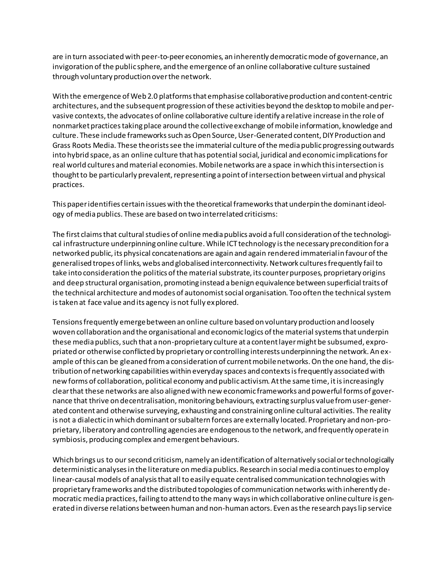are in turn associated with peer-to-peer economies, an inherently democratic mode of governance, an invigoration of the public sphere, and the emergence of an online collaborative culture sustained through voluntary production over the network.

With the emergence of Web 2.0 platforms that emphasise collaborative production and content-centric architectures, and the subsequent progression of these activities beyond the desktop to mobile and pervasive contexts, the advocates of online collaborative culture identify a relative increase in the role of nonmarket practices taking place around the collective exchange of mobile information, knowledge and culture. These include frameworks such as Open Source, User-Generated content, DIY Production and Grass Roots Media. These theorists see the immaterial culture of the media public progressing outwards into hybrid space, as an online culture that has potential social, juridical and economic implications for real world cultures and material economies. Mobile networks are a space in which this intersection is thought to be particularly prevalent, representing a point of intersection between virtual and physical practices.

This paper identifies certain issues with the theoretical frameworks that underpin the dominant ideology of media publics. These are based on two interrelated criticisms:

The first claims that cultural studies of online media publics avoid a full consideration of the technological infrastructure underpinning online culture. While ICT technology is the necessary precondition for a networked public, its physical concatenations are again and again rendered immaterial in favour of the generalised tropes of links, webs and globalised interconnectivity. Network cultures frequently fail to take into consideration the politics of the material substrate, its counter purposes, proprietary origins and deep structural organisation, promoting instead a benign equivalence between superficial traits of the technical architecture and modes of autonomist social organisation. Too often the technical system is taken at face value and its agency is not fully explored.

Tensions frequently emerge between an online culture based on voluntary production and loosely woven collaboration and the organisational and economic logics of the material systems that underpin these media publics, such that a non-proprietary culture at a content layer might be subsumed, expropriated or otherwise conflicted by proprietary or controlling interests underpinning the network. An example of this can be gleaned from a consideration of current mobile networks. On the one hand, the distribution of networking capabilities within everyday spaces and contexts is frequently associated with new forms of collaboration, political economy and public activism. At the same time, it is increasingly clear that these networks are also aligned with new economic frameworks and powerful forms of governance that thrive on decentralisation, monitoring behaviours, extracting surplus value from user-generated content and otherwise surveying, exhausting and constraining online cultural activities. The reality is not a dialectic in which dominant or subaltern forces are externally located. Proprietary and non-proprietary, liberatory and controlling agencies are endogenous to the network, and frequently operate in symbiosis, producing complex and emergent behaviours.

Which brings us to our second criticism, namely an identification of alternatively social or technologically deterministic analyses in the literature on media publics. Research in social media continues to employ linear-causal models of analysis that all to easily equate centralised communication technologies with proprietary frameworks and the distributed topologies of communication networks with inherently democratic media practices, failing to attend to the many ways in which collaborative online culture is generated in diverse relations between human and non-human actors. Even as the research pays lip service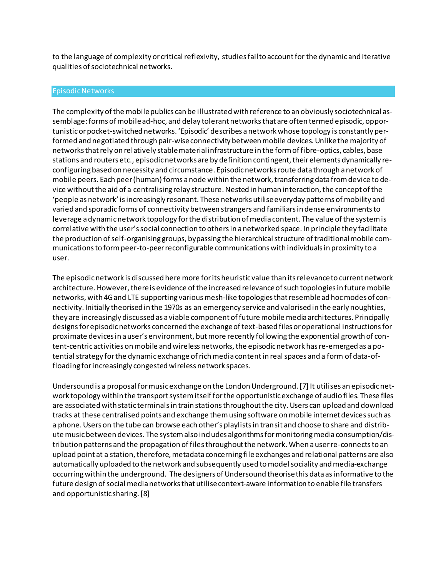to the language of complexity or critical reflexivity, studies fail to account for the dynamic and iterative qualities of sociotechnical networks.

#### Episodic Networks

The complexity of the mobile publics can be illustrated with reference to an obviously sociotechnical assemblage: forms of mobile ad-hoc, and delay tolerant networks that are often termed episodic, opportunistic or pocket-switched networks. 'Episodic' describes a network whose topology is constantly performed and negotiated through pair-wise connectivity between mobile devices. Unlike the majority of networks that rely on relatively stable material infrastructure in the form of fibre-optics, cables, base stations and routers etc., episodic networks are by definition contingent, their elements dynamically reconfiguring based on necessity and circumstance. Episodic networks route data through a network of mobile peers. Each peer (human) forms a node within the network, transferring data from device to device without the aid of a centralising relay structure. Nested in human interaction, the concept of the 'people as network' is increasingly resonant. These networks utilise everyday patterns of mobility and varied and sporadic forms of connectivity between strangers and familiars in dense environments to leverage a dynamic network topology for the distribution of media content. The value of the system is correlative with the user's social connection to others in a networked space. In principle they facilitate the production of self-organising groups, bypassing the hierarchical structure of traditional mobile communications to form peer-to-peer reconfigurable communications with individuals in proximity to a user.

The episodic network is discussed here more for its heuristic value than its relevance to current network architecture. However, there is evidence of the increased relevance of such topologies in future mobile networks, with 4G and LTE supporting various mesh-like topologies that resemble ad hoc modes of connectivity. Initially theorised in the 1970s as an emergency service and valorised in the early noughties, they are increasingly discussed as a viable component of future mobile media architectures. Principally designs for episodic networks concerned the exchange of text-based files or operational instructions for proximate devices in a user's environment, but more recently following the exponential growth of content-centric activities on mobile and wireless networks, the episodic network has re-emerged as a potential strategy for the dynamic exchange of rich media content in real spaces and a form of data-offloading for increasingly congested wireless network spaces.

Undersound is a proposal for music exchange on the London Underground. [7] It utilises an episodic network topology within the transport system itself for the opportunistic exchange of audio files. These files are associated with static terminals in train stations throughout the city. Users can upload and download tracks at these centralised points and exchange them using software on mobile internet devices such as a phone. Users on the tube can browse each other's playlists in transit and choose to share and distribute music between devices. The system also includes algorithms for monitoring media consumption/distribution patterns and the propagation of files throughout the network. When a user re-connects to an upload point at a station, therefore, metadata concerning file exchanges and relational patterns are also automatically uploaded to the network and subsequently used to model sociality and media-exchange occurring within the underground. The designers of Undersound theorise this data as informative to the future design of social media networks that utilise context-aware information to enable file transfers and opportunistic sharing. [8]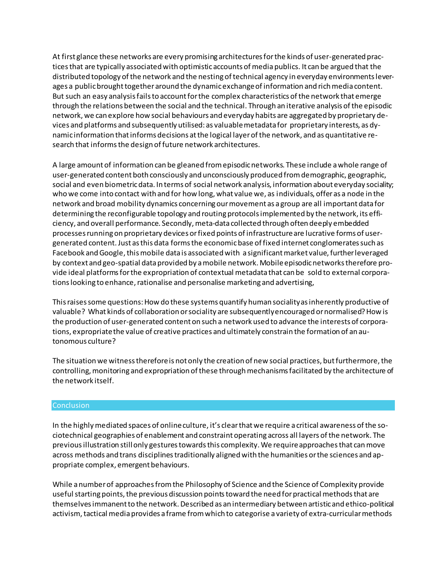At first glance these networks are every promising architectures for the kinds of user-generated practices that are typically associated with optimistic accounts of media publics. It can be argued that the distributed topology of the network and the nesting of technical agency in everyday environments leverages a public brought together around the dynamic exchange of information and rich media content. But such an easy analysis fails to account for the complex characteristics of the network that emerge through the relations between the social and the technical. Through an iterative analysis of the episodic network, we can explore how social behaviours and everyday habits are aggregated by proprietary devices and platforms and subsequently utilised: as valuable metadata for proprietary interests, as dynamic information that informs decisions at the logical layer of the network, and as quantitative research that informs the design of future network architectures.

A large amount of information can be gleaned from episodic networks. These include a whole range of user-generated content both consciously and unconsciously produced from demographic, geographic, social and even biometric data. In terms of social network analysis, information about everyday sociality; who we come into contact with and for how long, what value we, as individuals, offer as a node in the network and broad mobility dynamics concerning our movement as a group are all important data for determining the reconfigurable topology and routing protocols implemented by the network, its efficiency, and overall performance. Secondly, meta-data collected through often deeply embedded processes running on proprietary devices or fixed points of infrastructure are lucrative forms of usergenerated content. Just as this data forms the economic base of fixed internet conglomerates such as Facebook and Google, this mobile data is associated with a significant market value, further leveraged by context and geo-spatial data provided by a mobile network. Mobile episodic networks therefore provide ideal platforms for the expropriation of contextual metadata that can be sold to external corporations looking to enhance, rationalise and personalise marketing and advertising,

This raises some questions: How do these systems quantify human sociality as inherently productive of valuable? What kinds of collaboration or sociality are subsequently encouraged or normalised? How is the production of user-generated content on such a network used to advance the interests of corporations, expropriate the value of creative practices and ultimately constrain the formation of an autonomous culture?

The situation we witness therefore is not only the creation of new social practices, but furthermore, the controlling, monitoring and expropriation of these through mechanisms facilitated by the architecture of the network itself.

### **Conclusion**

In the highly mediated spaces of online culture, it's clear that we require a critical awareness of the sociotechnical geographies of enablement and constraint operating across all layers of the network. The previous illustration still only gestures towards this complexity. We require approaches that can move across methods and trans disciplines traditionally aligned with the humanities or the sciences and appropriate complex, emergent behaviours.

While a number of approaches from the Philosophy of Science and the Science of Complexity provide useful starting points, the previous discussion points toward the need for practical methods that are themselves immanent to the network. Described as an intermediary between artistic and ethico-political activism, tactical media provides a frame from which to categorise a variety of extra-curricular methods